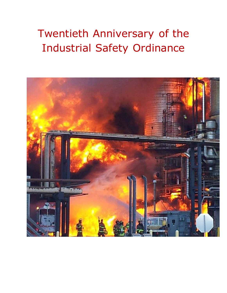# Twentieth Anniversary of the Industrial Safety Ordinance

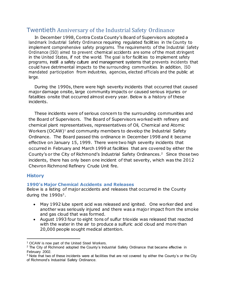# Twentieth Anniversary of the Industrial Safety Ordinance

In December 1998, Contra Costa County's Board of Supervisors adopted a landmark Industrial Safety Ordinance requiring regulated facilities in the County to implement comprehensive safety programs. The requirements of the Industrial Safety Ordinance (ISO) aimed to prevent chemical accidents are some ofthe most stringent in the United States, if not the world. The goal is for facilities to implement safety programs, instill a safety culture and management systems that prevents incidents that could have detrimental impacts to the surrounding communities. In addition, ISO mandated participation from industries, agencies, elected of ficials and the public at large.

During the 1990s, there were high severity incidents that occurred that caused major damage onsite, large community impacts or caused serious injuries or fatalities onsite that occurred almost every year. Below is a history of these incidents.

These incidents were of serious concern to the surrounding communities and the Board of Supervisors. The Board of Supervisors worked with refinery and chemical plant representatives, representatives of Oil, Chemical and Atomic Workers ( $OCAW$ )<sup>1</sup> and community members to develop the Industrial Safety Ordinance. The Board passed this ordinance in December 1998 and it became effective on January 15, 1999. There were two high severity incidents that occurred in February and March 1999 at facilities that are covered by either the County's or the City of Richmond's Industrial Safety Ordinances.<sup>2</sup> Since those two incidents, there has only been one incident of that severity, which was the 2012 Chevron Richmond Refinery Crude Unit fire.

#### **History**

 $\ddot{\phantom{a}}$ 

#### **1990's Major Chemical Accidents and Releases**

Below is a listing of major accidents and releases that occurred in the County during the  $1990s<sup>3</sup>$ .

- May 1992 lube spent acid was released and ignited. One worker died and another was seriously injured and there was a major impact from the smoke and gas cloud that was formed.
- August 1993 four to eight tons of sulfur trioxide was released that reacted with the water in the air to produce a sulfuric acid cloud and more than 20,000 people sought medical attention.

<sup>1</sup> OCAW is now part of the United Steel Workers.

<sup>&</sup>lt;sup>2</sup> The City of Richmond adopted the County's Industrial Safety Ordinance that became effective in February 2002.

<sup>3</sup> Note that two of these incidents were at facilities that are not covered by either the County's or the City of Richmond's Industrial Safety Ordinance.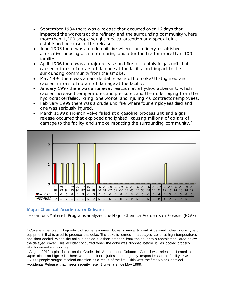- September 1994 there was a release that occurred over 16 days that impacted the workers at the refinery and the surrounding community where more than 1,200 people sought medical attention at a special clinic established because of this release.
- June 1995 there was a crude unit fire where the refinery established alternative housing at a motel during and after the fire for more than 100 families.
- April 1996 there was a major release and fire at a catalytic gas unit that caused millions of dollars of damage at the facility and impact to the surrounding community from the smoke.
- $\bullet$  May 1996 there was an accidental release of hot coke<sup>4</sup> that ignited and caused millions of dollars of damage at the facility.
- January 1997 there was a runaway reaction at a hydrocracker unit, which caused increased temperatures and pressures and the outlet piping from the hydrocracker failed, killing one worker and injuring 46 contractor employees.
- February 1999 there was a crude unit fire where four employees died and one was seriously injured.
- March 1999 a six-inch valve failed at a gasoline process unit and a gas release occurred that exploded and ignited, causing millions of dollars of damage to the facility and smoke impacting the surrounding community.<sup>5</sup>



## **Major Chemical Accidents or Releases**

 $\ddot{\phantom{a}}$ 

Hazardous Materials Programs analyzed the Major Chemical Accidents or Releases (MCAR)

<sup>4</sup> Coke is a petroleum byproduct of some refineries. Coke is similar to coal. A delayed coker is one type of equipment that is used to produce this coke. The coke is formed in a delayed coker at high temperatures and then cooled. When the coke is cooled it is then dropped from the coker to a containment area below the delayed coker. This accident occurred when the coke was dropped before it was cooled properly, which caused a major fire.

<sup>5</sup> August 2012 a pipe failed on the Crude Unit Atmospheric Column. Gas oil was released, formed a vapor cloud and ignited. There were six minor injuries to emergency responders at the facility. Over 15,000 people sought medical attention as a result of the fire. This was the first Major Chemical Accidental Release that meets severity level 3 criteria since May 1999.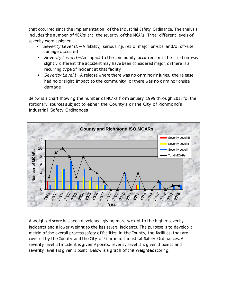that occurred since the implementation ofthe Industrial Safety Ordinance. The analysis includes the number of MCARs and the severity ofthe MCARs. Three different levels of severity were assigned:

- *Severity Level III*—A fatality, serious injuries or major on-site and/or off-site damage occurred
- *Severity Level II*—An impact to the community occurred, or if the situation was slightly different the accident may have been considered major, or there is a recurring type of incident at that facility
- *Severity Level I*—A release where there was no or minor injuries, the release had no or slight impact to the community, or there was no or minor onsite damage

Below is a chart showing the number of MCARs from January 1999 through 2018 for the stationary sources subject to either the County's or the City of Richmond's Industrial Safety Ordinances.



A weighted score has been developed, giving more weight to the higher severity incidents and a lower weight to the less severe incidents. The purpose is to develop a metric ofthe overall process safety of facilities in the County, the facilities that are covered by the County and the City of Richmond Industrial Safety Ordinances. A severity level III incident is given 9 points, severity level II is given 3 points and severity level I is given 1 point. Below is a graph of this weighted scoring.